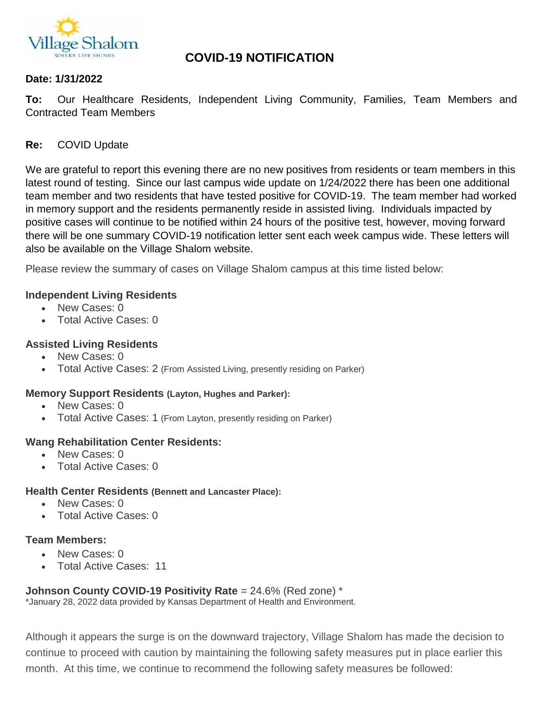

# **COVID-19 NOTIFICATION**

### **Date: 1/31/2022**

**To:** Our Healthcare Residents, Independent Living Community, Families, Team Members and Contracted Team Members

### **Re:** COVID Update

We are grateful to report this evening there are no new positives from residents or team members in this latest round of testing. Since our last campus wide update on 1/24/2022 there has been one additional team member and two residents that have tested positive for COVID-19. The team member had worked in memory support and the residents permanently reside in assisted living. Individuals impacted by positive cases will continue to be notified within 24 hours of the positive test, however, moving forward there will be one summary COVID-19 notification letter sent each week campus wide. These letters will also be available on the Village Shalom website.

Please review the summary of cases on Village Shalom campus at this time listed below:

#### **Independent Living Residents**

- New Cases: 0
- Total Active Cases: 0

#### **Assisted Living Residents**

- New Cases: 0
- Total Active Cases: 2 (From Assisted Living, presently residing on Parker)

#### **Memory Support Residents (Layton, Hughes and Parker):**

- New Cases: 0
- Total Active Cases: 1 (From Layton, presently residing on Parker)

#### **Wang Rehabilitation Center Residents:**

- New Cases: 0
- Total Active Cases: 0

#### **Health Center Residents (Bennett and Lancaster Place):**

- New Cases: 0
- Total Active Cases: 0

#### **Team Members:**

- New Cases: 0
- Total Active Cases: 11

#### **Johnson County COVID-19 Positivity Rate** = 24.6% (Red zone) \*

\*January 28, 2022 data provided by Kansas Department of Health and Environment.

Although it appears the surge is on the downward trajectory, Village Shalom has made the decision to continue to proceed with caution by maintaining the following safety measures put in place earlier this month. At this time, we continue to recommend the following safety measures be followed: